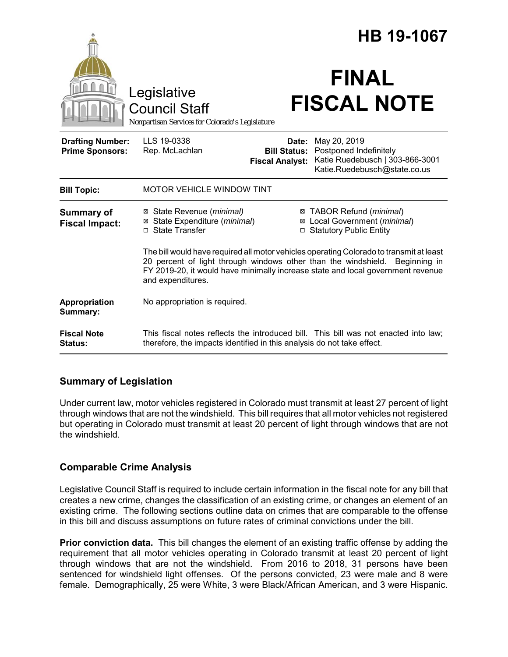|                                                   |                                                                                        | HB 19-1067                                             |                                                                                                                                                                                            |
|---------------------------------------------------|----------------------------------------------------------------------------------------|--------------------------------------------------------|--------------------------------------------------------------------------------------------------------------------------------------------------------------------------------------------|
|                                                   | Legislative<br><b>Council Staff</b><br>Nonpartisan Services for Colorado's Legislature |                                                        | <b>FINAL</b><br><b>FISCAL NOTE</b>                                                                                                                                                         |
| <b>Drafting Number:</b><br><b>Prime Sponsors:</b> | LLS 19-0338<br>Rep. McLachlan                                                          | Date:<br><b>Bill Status:</b><br><b>Fiscal Analyst:</b> | May 20, 2019<br>Postponed Indefinitely<br>Katie Ruedebusch   303-866-3001<br>Katie.Ruedebusch@state.co.us                                                                                  |
| <b>Bill Topic:</b>                                | <b>MOTOR VEHICLE WINDOW TINT</b>                                                       |                                                        |                                                                                                                                                                                            |
| <b>Summary of</b><br><b>Fiscal Impact:</b>        | ⊠ State Revenue (minimal)<br>State Expenditure (minimal)<br>⊠<br>□ State Transfer      |                                                        | ⊠ TABOR Refund (minimal)<br>⊠ Local Government (minimal)<br>□ Statutory Public Entity                                                                                                      |
|                                                   | 20 percent of light through windows other than the windshield.<br>and expenditures.    |                                                        | The bill would have required all motor vehicles operating Colorado to transmit at least<br>Beginning in<br>FY 2019-20, it would have minimally increase state and local government revenue |
| Appropriation<br>Summary:                         | No appropriation is required.                                                          |                                                        |                                                                                                                                                                                            |
| <b>Fiscal Note</b><br>Status:                     | therefore, the impacts identified in this analysis do not take effect.                 |                                                        | This fiscal notes reflects the introduced bill. This bill was not enacted into law;                                                                                                        |

## **Summary of Legislation**

Under current law, motor vehicles registered in Colorado must transmit at least 27 percent of light through windows that are not the windshield. This bill requires that all motor vehicles not registered but operating in Colorado must transmit at least 20 percent of light through windows that are not the windshield.

# **Comparable Crime Analysis**

Legislative Council Staff is required to include certain information in the fiscal note for any bill that creates a new crime, changes the classification of an existing crime, or changes an element of an existing crime. The following sections outline data on crimes that are comparable to the offense in this bill and discuss assumptions on future rates of criminal convictions under the bill.

**Prior conviction data.** This bill changes the element of an existing traffic offense by adding the requirement that all motor vehicles operating in Colorado transmit at least 20 percent of light through windows that are not the windshield. From 2016 to 2018, 31 persons have been sentenced for windshield light offenses. Of the persons convicted, 23 were male and 8 were female. Demographically, 25 were White, 3 were Black/African American, and 3 were Hispanic.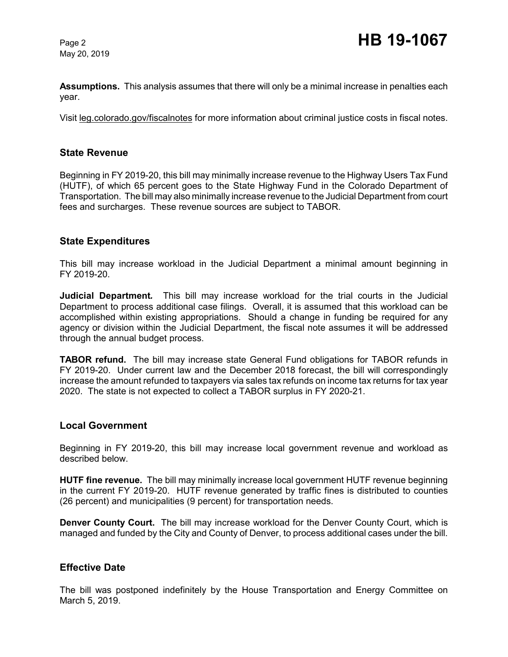May 20, 2019

**Assumptions.** This analysis assumes that there will only be a minimal increase in penalties each year.

Visit leg.colorado.gov/fiscalnotes for more information about criminal justice costs in fiscal notes.

#### **State Revenue**

Beginning in FY 2019-20, this bill may minimally increase revenue to the Highway Users Tax Fund (HUTF), of which 65 percent goes to the State Highway Fund in the Colorado Department of Transportation. The bill may also minimally increase revenue to the Judicial Department from court fees and surcharges. These revenue sources are subject to TABOR.

#### **State Expenditures**

This bill may increase workload in the Judicial Department a minimal amount beginning in FY 2019-20.

**Judicial Department***.* This bill may increase workload for the trial courts in the Judicial Department to process additional case filings. Overall, it is assumed that this workload can be accomplished within existing appropriations. Should a change in funding be required for any agency or division within the Judicial Department, the fiscal note assumes it will be addressed through the annual budget process.

**TABOR refund.** The bill may increase state General Fund obligations for TABOR refunds in FY 2019-20. Under current law and the December 2018 forecast, the bill will correspondingly increase the amount refunded to taxpayers via sales tax refunds on income tax returns for tax year 2020. The state is not expected to collect a TABOR surplus in FY 2020-21.

#### **Local Government**

Beginning in FY 2019-20, this bill may increase local government revenue and workload as described below.

**HUTF fine revenue.** The bill may minimally increase local government HUTF revenue beginning in the current FY 2019-20. HUTF revenue generated by traffic fines is distributed to counties (26 percent) and municipalities (9 percent) for transportation needs.

**Denver County Court.** The bill may increase workload for the Denver County Court, which is managed and funded by the City and County of Denver, to process additional cases under the bill.

#### **Effective Date**

The bill was postponed indefinitely by the House Transportation and Energy Committee on March 5, 2019.